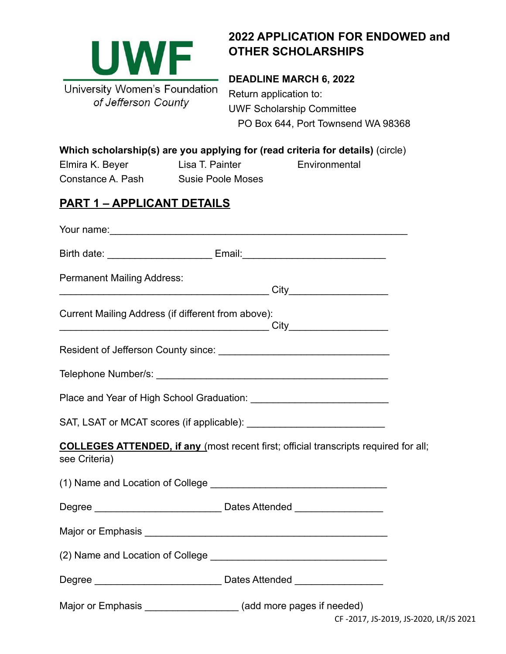

# **2022 APPLICATION FOR ENDOWED and OTHER SCHOLARSHIPS**

#### **DEADLINE MARCH 6, 2022**

Return application to: UWF Scholarship Committee PO Box 644, Port Townsend WA 98368

#### **Which scholarship(s) are you applying for (read criteria for details)** (circle)

Elmira K. Beyer Lisa T. Painter Environmental Constance A. Pash Susie Poole Moses

### **PART 1 – APPLICANT DETAILS**

| <b>Permanent Mailing Address:</b>                                   |                                                                                             |                                       |
|---------------------------------------------------------------------|---------------------------------------------------------------------------------------------|---------------------------------------|
| Current Mailing Address (if different from above):                  | <u>City City</u>                                                                            |                                       |
|                                                                     |                                                                                             |                                       |
|                                                                     |                                                                                             |                                       |
|                                                                     |                                                                                             |                                       |
|                                                                     |                                                                                             |                                       |
| see Criteria)                                                       | <b>COLLEGES ATTENDED, if any (most recent first; official transcripts required for all;</b> |                                       |
|                                                                     |                                                                                             |                                       |
|                                                                     |                                                                                             |                                       |
|                                                                     |                                                                                             |                                       |
|                                                                     |                                                                                             |                                       |
|                                                                     |                                                                                             |                                       |
| Major or Emphasis ______________________ (add more pages if needed) |                                                                                             | CF-2017, JS-2019, JS-2020, LR/JS 2021 |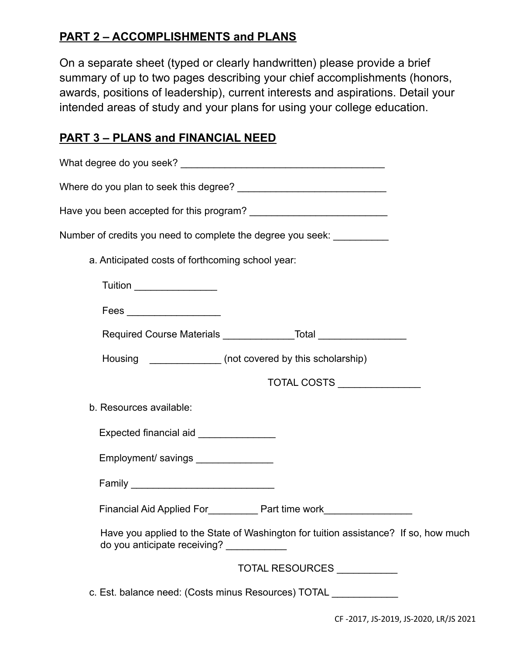# **PART 2 – ACCOMPLISHMENTS and PLANS**

On a separate sheet (typed or clearly handwritten) please provide a brief summary of up to two pages describing your chief accomplishments (honors, awards, positions of leadership), current interests and aspirations. Detail your intended areas of study and your plans for using your college education.

# **PART 3 – PLANS and FINANCIAL NEED**

| Number of credits you need to complete the degree you seek: ___________                                                           |
|-----------------------------------------------------------------------------------------------------------------------------------|
| a. Anticipated costs of forthcoming school year:                                                                                  |
| Tuition __________________                                                                                                        |
| Fees ___________________                                                                                                          |
|                                                                                                                                   |
| Housing _________________ (not covered by this scholarship)                                                                       |
|                                                                                                                                   |
| b. Resources available:                                                                                                           |
| Expected financial aid ______________                                                                                             |
| Employment/ savings ________________                                                                                              |
|                                                                                                                                   |
| Financial Aid Applied For_____________ Part time work___________________________                                                  |
| Have you applied to the State of Washington for tuition assistance? If so, how much<br>do you anticipate receiving? _____________ |
| TOTAL RESOURCES ___________                                                                                                       |
| c. Est. balance need: (Costs minus Resources) TOTAL ______________                                                                |

CF -2017, JS-2019, JS-2020, LR/JS 2021